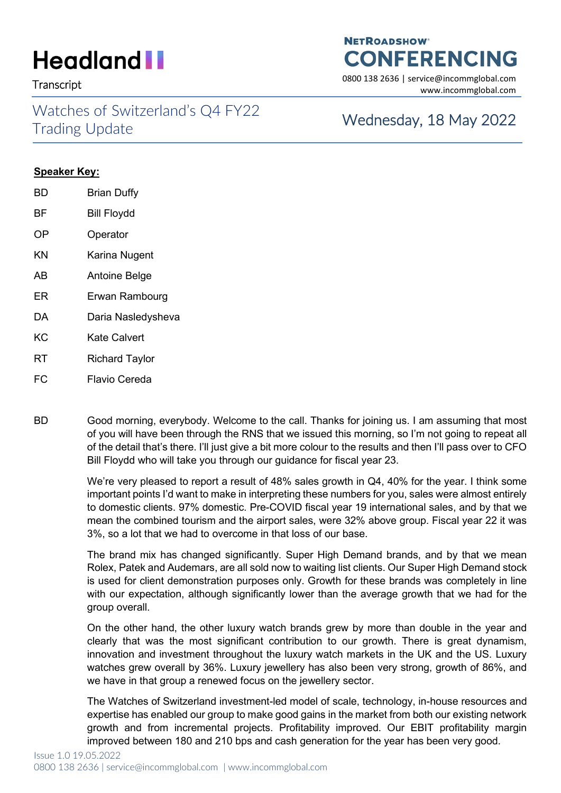Watches of Switzerland's Q4 FY22 VValCries of Switzerianus Q4 FTZZ<br>Trading Update Wednesday, 18 May 2022

### **NETROADSHOW CONFERENCING**

Transcript 0800 138 2636 | service@incommglobal.com www.incommglobal.com

### **Speaker Key:**

- BD Brian Duffy BF Bill Floydd OP Operator KN Karina Nugent AB Antoine Belge ER Erwan Rambourg DA Daria Nasledysheva KC Kate Calvert RT Richard Taylor
- FC Flavio Cereda

BD Good morning, everybody. Welcome to the call. Thanks for joining us. I am assuming that most of you will have been through the RNS that we issued this morning, so I'm not going to repeat all of the detail that's there. I'll just give a bit more colour to the results and then I'll pass over to CFO Bill Floydd who will take you through our guidance for fiscal year 23.

> We're very pleased to report a result of 48% sales growth in Q4, 40% for the year. I think some important points I'd want to make in interpreting these numbers for you, sales were almost entirely to domestic clients. 97% domestic. Pre-COVID fiscal year 19 international sales, and by that we mean the combined tourism and the airport sales, were 32% above group. Fiscal year 22 it was 3%, so a lot that we had to overcome in that loss of our base.

> The brand mix has changed significantly. Super High Demand brands, and by that we mean Rolex, Patek and Audemars, are all sold now to waiting list clients. Our Super High Demand stock is used for client demonstration purposes only. Growth for these brands was completely in line with our expectation, although significantly lower than the average growth that we had for the group overall.

> On the other hand, the other luxury watch brands grew by more than double in the year and clearly that was the most significant contribution to our growth. There is great dynamism, innovation and investment throughout the luxury watch markets in the UK and the US. Luxury watches grew overall by 36%. Luxury jewellery has also been very strong, growth of 86%, and we have in that group a renewed focus on the jewellery sector.

> The Watches of Switzerland investment-led model of scale, technology, in-house resources and expertise has enabled our group to make good gains in the market from both our existing network growth and from incremental projects. Profitability improved. Our EBIT profitability margin improved between 180 and 210 bps and cash generation for the year has been very good.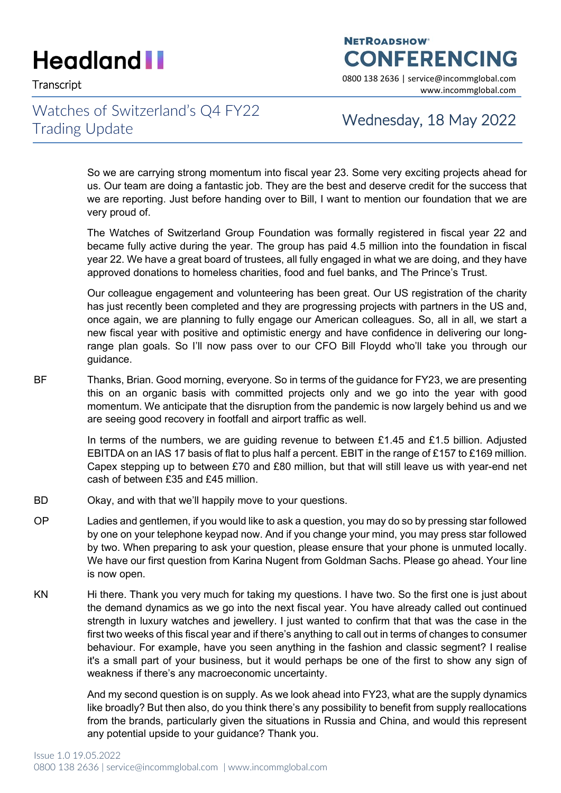**NETROADSHOW CONFERENCING** 

Transcript 0800 138 2636 | service@incommglobal.com www.incommglobal.com

### Watches of Switzerland's Q4 FY22 Trading Update Trading Update

So we are carrying strong momentum into fiscal year 23. Some very exciting projects ahead for us. Our team are doing a fantastic job. They are the best and deserve credit for the success that we are reporting. Just before handing over to Bill, I want to mention our foundation that we are very proud of.

The Watches of Switzerland Group Foundation was formally registered in fiscal year 22 and became fully active during the year. The group has paid 4.5 million into the foundation in fiscal year 22. We have a great board of trustees, all fully engaged in what we are doing, and they have approved donations to homeless charities, food and fuel banks, and The Prince's Trust.

Our colleague engagement and volunteering has been great. Our US registration of the charity has just recently been completed and they are progressing projects with partners in the US and, once again, we are planning to fully engage our American colleagues. So, all in all, we start a new fiscal year with positive and optimistic energy and have confidence in delivering our longrange plan goals. So I'll now pass over to our CFO Bill Floydd who'll take you through our guidance.

BF Thanks, Brian. Good morning, everyone. So in terms of the guidance for FY23, we are presenting this on an organic basis with committed projects only and we go into the year with good momentum. We anticipate that the disruption from the pandemic is now largely behind us and we are seeing good recovery in footfall and airport traffic as well.

> In terms of the numbers, we are guiding revenue to between £1.45 and £1.5 billion. Adjusted EBITDA on an IAS 17 basis of flat to plus half a percent. EBIT in the range of £157 to £169 million. Capex stepping up to between £70 and £80 million, but that will still leave us with year-end net cash of between £35 and £45 million.

- BD Okay, and with that we'll happily move to your questions.
- OP Ladies and gentlemen, if you would like to ask a question, you may do so by pressing star followed by one on your telephone keypad now. And if you change your mind, you may press star followed by two. When preparing to ask your question, please ensure that your phone is unmuted locally. We have our first question from Karina Nugent from Goldman Sachs. Please go ahead. Your line is now open.
- KN Hi there. Thank you very much for taking my questions. I have two. So the first one is just about the demand dynamics as we go into the next fiscal year. You have already called out continued strength in luxury watches and jewellery. I just wanted to confirm that that was the case in the first two weeks of this fiscal year and if there's anything to call out in terms of changes to consumer behaviour. For example, have you seen anything in the fashion and classic segment? I realise it's a small part of your business, but it would perhaps be one of the first to show any sign of weakness if there's any macroeconomic uncertainty.

And my second question is on supply. As we look ahead into FY23, what are the supply dynamics like broadly? But then also, do you think there's any possibility to benefit from supply reallocations from the brands, particularly given the situations in Russia and China, and would this represent any potential upside to your guidance? Thank you.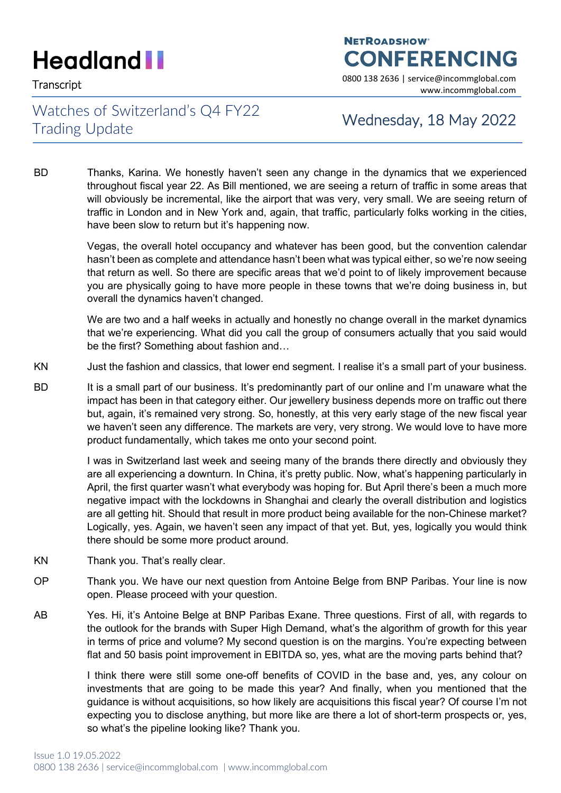### **NETROADSHOW CONFERENCING**

Transcript 0800 138 2636 | service@incommglobal.com www.incommglobal.com

### Watches of Switzerland's Q4 FY22 Trading Update Trading Update

BD Thanks, Karina. We honestly haven't seen any change in the dynamics that we experienced throughout fiscal year 22. As Bill mentioned, we are seeing a return of traffic in some areas that will obviously be incremental, like the airport that was very, very small. We are seeing return of traffic in London and in New York and, again, that traffic, particularly folks working in the cities, have been slow to return but it's happening now.

> Vegas, the overall hotel occupancy and whatever has been good, but the convention calendar hasn't been as complete and attendance hasn't been what was typical either, so we're now seeing that return as well. So there are specific areas that we'd point to of likely improvement because you are physically going to have more people in these towns that we're doing business in, but overall the dynamics haven't changed.

> We are two and a half weeks in actually and honestly no change overall in the market dynamics that we're experiencing. What did you call the group of consumers actually that you said would be the first? Something about fashion and…

- KN Just the fashion and classics, that lower end segment. I realise it's a small part of your business.
- BD It is a small part of our business. It's predominantly part of our online and I'm unaware what the impact has been in that category either. Our jewellery business depends more on traffic out there but, again, it's remained very strong. So, honestly, at this very early stage of the new fiscal year we haven't seen any difference. The markets are very, very strong. We would love to have more product fundamentally, which takes me onto your second point.

I was in Switzerland last week and seeing many of the brands there directly and obviously they are all experiencing a downturn. In China, it's pretty public. Now, what's happening particularly in April, the first quarter wasn't what everybody was hoping for. But April there's been a much more negative impact with the lockdowns in Shanghai and clearly the overall distribution and logistics are all getting hit. Should that result in more product being available for the non-Chinese market? Logically, yes. Again, we haven't seen any impact of that yet. But, yes, logically you would think there should be some more product around.

- KN Thank you. That's really clear.
- OP Thank you. We have our next question from Antoine Belge from BNP Paribas. Your line is now open. Please proceed with your question.
- AB Yes. Hi, it's Antoine Belge at BNP Paribas Exane. Three questions. First of all, with regards to the outlook for the brands with Super High Demand, what's the algorithm of growth for this year in terms of price and volume? My second question is on the margins. You're expecting between flat and 50 basis point improvement in EBITDA so, yes, what are the moving parts behind that?

I think there were still some one-off benefits of COVID in the base and, yes, any colour on investments that are going to be made this year? And finally, when you mentioned that the guidance is without acquisitions, so how likely are acquisitions this fiscal year? Of course I'm not expecting you to disclose anything, but more like are there a lot of short-term prospects or, yes, so what's the pipeline looking like? Thank you.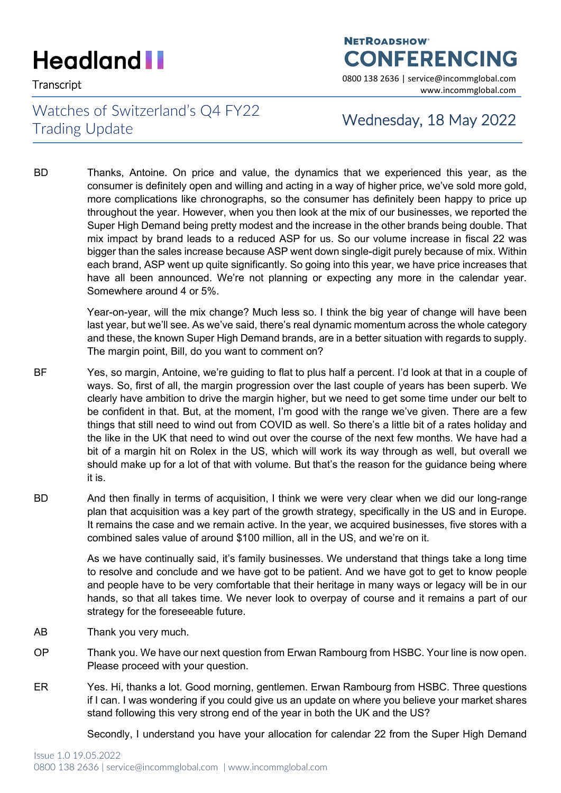## **NETROADSHOW CONFERENCING**

Transcript 0800 138 2636 | service@incommglobal.com www.incommglobal.com

### Watches of Switzerland's Q4 FY22 Trading Update Trading Update

BD Thanks, Antoine. On price and value, the dynamics that we experienced this year, as the consumer is definitely open and willing and acting in a way of higher price, we've sold more gold, more complications like chronographs, so the consumer has definitely been happy to price up throughout the year. However, when you then look at the mix of our businesses, we reported the Super High Demand being pretty modest and the increase in the other brands being double. That mix impact by brand leads to a reduced ASP for us. So our volume increase in fiscal 22 was bigger than the sales increase because ASP went down single-digit purely because of mix. Within each brand, ASP went up quite significantly. So going into this year, we have price increases that have all been announced. We're not planning or expecting any more in the calendar year. Somewhere around 4 or 5%.

> Year-on-year, will the mix change? Much less so. I think the big year of change will have been last year, but we'll see. As we've said, there's real dynamic momentum across the whole category and these, the known Super High Demand brands, are in a better situation with regards to supply. The margin point, Bill, do you want to comment on?

- BF Yes, so margin, Antoine, we're guiding to flat to plus half a percent. I'd look at that in a couple of ways. So, first of all, the margin progression over the last couple of years has been superb. We clearly have ambition to drive the margin higher, but we need to get some time under our belt to be confident in that. But, at the moment, I'm good with the range we've given. There are a few things that still need to wind out from COVID as well. So there's a little bit of a rates holiday and the like in the UK that need to wind out over the course of the next few months. We have had a bit of a margin hit on Rolex in the US, which will work its way through as well, but overall we should make up for a lot of that with volume. But that's the reason for the guidance being where it is.
- BD And then finally in terms of acquisition, I think we were very clear when we did our long-range plan that acquisition was a key part of the growth strategy, specifically in the US and in Europe. It remains the case and we remain active. In the year, we acquired businesses, five stores with a combined sales value of around \$100 million, all in the US, and we're on it.

As we have continually said, it's family businesses. We understand that things take a long time to resolve and conclude and we have got to be patient. And we have got to get to know people and people have to be very comfortable that their heritage in many ways or legacy will be in our hands, so that all takes time. We never look to overpay of course and it remains a part of our strategy for the foreseeable future.

- AB Thank you very much.
- OP Thank you. We have our next question from Erwan Rambourg from HSBC. Your line is now open. Please proceed with your question.
- ER Yes. Hi, thanks a lot. Good morning, gentlemen. Erwan Rambourg from HSBC. Three questions if I can. I was wondering if you could give us an update on where you believe your market shares stand following this very strong end of the year in both the UK and the US?

Secondly, I understand you have your allocation for calendar 22 from the Super High Demand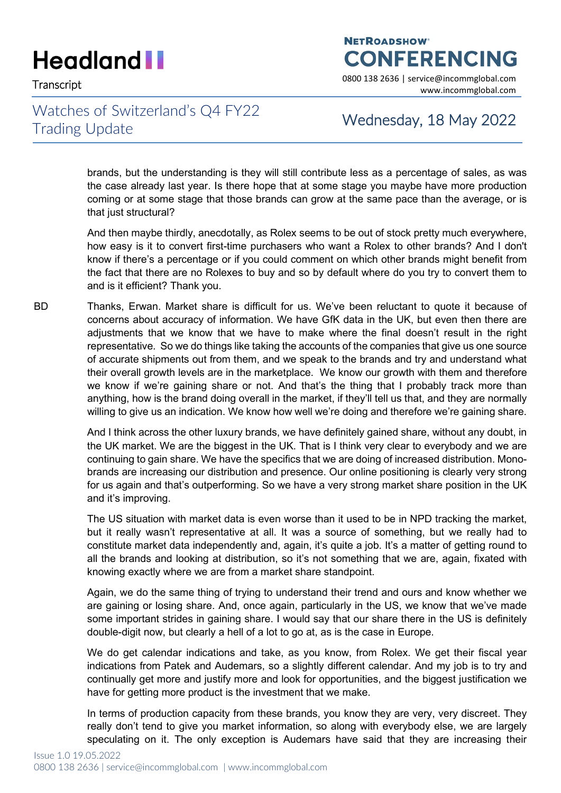**NETROADSHOW CONFERENCING** 

Transcript 0800 138 2636 | service@incommglobal.com www.incommglobal.com

### Watches of Switzerland's Q4 FY22 Trading Update Trading Update

brands, but the understanding is they will still contribute less as a percentage of sales, as was the case already last year. Is there hope that at some stage you maybe have more production coming or at some stage that those brands can grow at the same pace than the average, or is that just structural?

And then maybe thirdly, anecdotally, as Rolex seems to be out of stock pretty much everywhere, how easy is it to convert first-time purchasers who want a Rolex to other brands? And I don't know if there's a percentage or if you could comment on which other brands might benefit from the fact that there are no Rolexes to buy and so by default where do you try to convert them to and is it efficient? Thank you.

BD Thanks, Erwan. Market share is difficult for us. We've been reluctant to quote it because of concerns about accuracy of information. We have GfK data in the UK, but even then there are adjustments that we know that we have to make where the final doesn't result in the right representative. So we do things like taking the accounts of the companies that give us one source of accurate shipments out from them, and we speak to the brands and try and understand what their overall growth levels are in the marketplace. We know our growth with them and therefore we know if we're gaining share or not. And that's the thing that I probably track more than anything, how is the brand doing overall in the market, if they'll tell us that, and they are normally willing to give us an indication. We know how well we're doing and therefore we're gaining share.

> And I think across the other luxury brands, we have definitely gained share, without any doubt, in the UK market. We are the biggest in the UK. That is I think very clear to everybody and we are continuing to gain share. We have the specifics that we are doing of increased distribution. Monobrands are increasing our distribution and presence. Our online positioning is clearly very strong for us again and that's outperforming. So we have a very strong market share position in the UK and it's improving.

> The US situation with market data is even worse than it used to be in NPD tracking the market, but it really wasn't representative at all. It was a source of something, but we really had to constitute market data independently and, again, it's quite a job. It's a matter of getting round to all the brands and looking at distribution, so it's not something that we are, again, fixated with knowing exactly where we are from a market share standpoint.

> Again, we do the same thing of trying to understand their trend and ours and know whether we are gaining or losing share. And, once again, particularly in the US, we know that we've made some important strides in gaining share. I would say that our share there in the US is definitely double-digit now, but clearly a hell of a lot to go at, as is the case in Europe.

> We do get calendar indications and take, as you know, from Rolex. We get their fiscal year indications from Patek and Audemars, so a slightly different calendar. And my job is to try and continually get more and justify more and look for opportunities, and the biggest justification we have for getting more product is the investment that we make.

> In terms of production capacity from these brands, you know they are very, very discreet. They really don't tend to give you market information, so along with everybody else, we are largely speculating on it. The only exception is Audemars have said that they are increasing their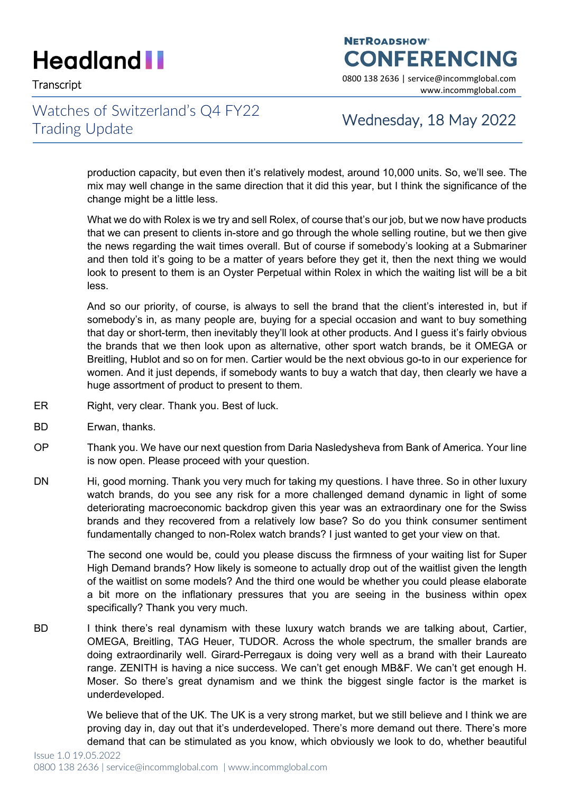Transcript 0800 138 2636 | service@incommglobal.com

### Watches of Switzerland's Q4 FY22 Trading Update Trading Update

**CONFERENCING** 

**NETROADSHOW** 

www.incommglobal.com

production capacity, but even then it's relatively modest, around 10,000 units. So, we'll see. The mix may well change in the same direction that it did this year, but I think the significance of the change might be a little less.

What we do with Rolex is we try and sell Rolex, of course that's our job, but we now have products that we can present to clients in-store and go through the whole selling routine, but we then give the news regarding the wait times overall. But of course if somebody's looking at a Submariner and then told it's going to be a matter of years before they get it, then the next thing we would look to present to them is an Oyster Perpetual within Rolex in which the waiting list will be a bit less.

And so our priority, of course, is always to sell the brand that the client's interested in, but if somebody's in, as many people are, buying for a special occasion and want to buy something that day or short-term, then inevitably they'll look at other products. And I guess it's fairly obvious the brands that we then look upon as alternative, other sport watch brands, be it OMEGA or Breitling, Hublot and so on for men. Cartier would be the next obvious go-to in our experience for women. And it just depends, if somebody wants to buy a watch that day, then clearly we have a huge assortment of product to present to them.

- ER Right, very clear. Thank you. Best of luck.
- BD Erwan, thanks.
- OP Thank you. We have our next question from Daria Nasledysheva from Bank of America. Your line is now open. Please proceed with your question.
- DN Hi, good morning. Thank you very much for taking my questions. I have three. So in other luxury watch brands, do you see any risk for a more challenged demand dynamic in light of some deteriorating macroeconomic backdrop given this year was an extraordinary one for the Swiss brands and they recovered from a relatively low base? So do you think consumer sentiment fundamentally changed to non-Rolex watch brands? I just wanted to get your view on that.

The second one would be, could you please discuss the firmness of your waiting list for Super High Demand brands? How likely is someone to actually drop out of the waitlist given the length of the waitlist on some models? And the third one would be whether you could please elaborate a bit more on the inflationary pressures that you are seeing in the business within opex specifically? Thank you very much.

BD I think there's real dynamism with these luxury watch brands we are talking about, Cartier, OMEGA, Breitling, TAG Heuer, TUDOR. Across the whole spectrum, the smaller brands are doing extraordinarily well. Girard-Perregaux is doing very well as a brand with their Laureato range. ZENITH is having a nice success. We can't get enough MB&F. We can't get enough H. Moser. So there's great dynamism and we think the biggest single factor is the market is underdeveloped.

> We believe that of the UK. The UK is a very strong market, but we still believe and I think we are proving day in, day out that it's underdeveloped. There's more demand out there. There's more demand that can be stimulated as you know, which obviously we look to do, whether beautiful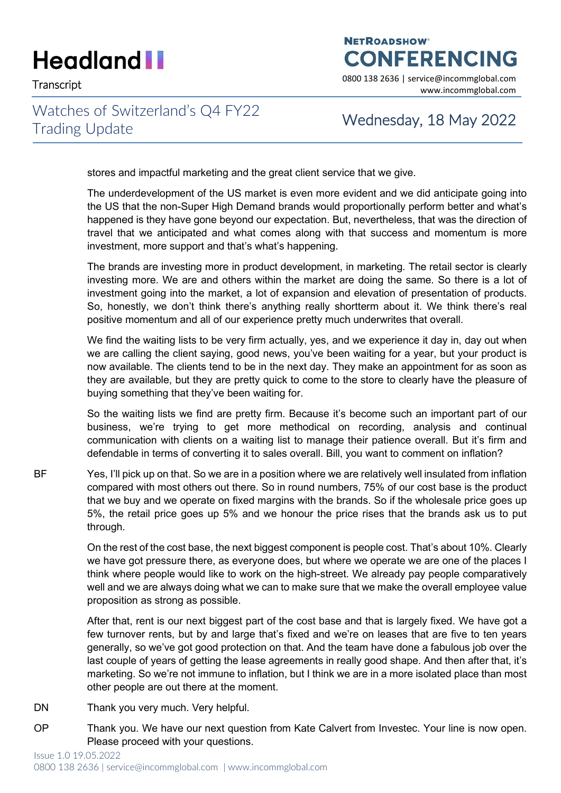### **NETROADSHOW CONFERENCING**

Transcript 0800 138 2636 | service@incommglobal.com www.incommglobal.com

### Watches of Switzerland's Q4 FY22 Trading Update Trading Update

stores and impactful marketing and the great client service that we give.

The underdevelopment of the US market is even more evident and we did anticipate going into the US that the non-Super High Demand brands would proportionally perform better and what's happened is they have gone beyond our expectation. But, nevertheless, that was the direction of travel that we anticipated and what comes along with that success and momentum is more investment, more support and that's what's happening.

The brands are investing more in product development, in marketing. The retail sector is clearly investing more. We are and others within the market are doing the same. So there is a lot of investment going into the market, a lot of expansion and elevation of presentation of products. So, honestly, we don't think there's anything really shortterm about it. We think there's real positive momentum and all of our experience pretty much underwrites that overall.

We find the waiting lists to be very firm actually, yes, and we experience it day in, day out when we are calling the client saying, good news, you've been waiting for a year, but your product is now available. The clients tend to be in the next day. They make an appointment for as soon as they are available, but they are pretty quick to come to the store to clearly have the pleasure of buying something that they've been waiting for.

So the waiting lists we find are pretty firm. Because it's become such an important part of our business, we're trying to get more methodical on recording, analysis and continual communication with clients on a waiting list to manage their patience overall. But it's firm and defendable in terms of converting it to sales overall. Bill, you want to comment on inflation?

BF Yes, I'll pick up on that. So we are in a position where we are relatively well insulated from inflation compared with most others out there. So in round numbers, 75% of our cost base is the product that we buy and we operate on fixed margins with the brands. So if the wholesale price goes up 5%, the retail price goes up 5% and we honour the price rises that the brands ask us to put through.

> On the rest of the cost base, the next biggest component is people cost. That's about 10%. Clearly we have got pressure there, as everyone does, but where we operate we are one of the places I think where people would like to work on the high-street. We already pay people comparatively well and we are always doing what we can to make sure that we make the overall employee value proposition as strong as possible.

> After that, rent is our next biggest part of the cost base and that is largely fixed. We have got a few turnover rents, but by and large that's fixed and we're on leases that are five to ten years generally, so we've got good protection on that. And the team have done a fabulous job over the last couple of years of getting the lease agreements in really good shape. And then after that, it's marketing. So we're not immune to inflation, but I think we are in a more isolated place than most other people are out there at the moment.

- DN Thank you very much. Very helpful.
- OP Thank you. We have our next question from Kate Calvert from Investec. Your line is now open. Please proceed with your questions.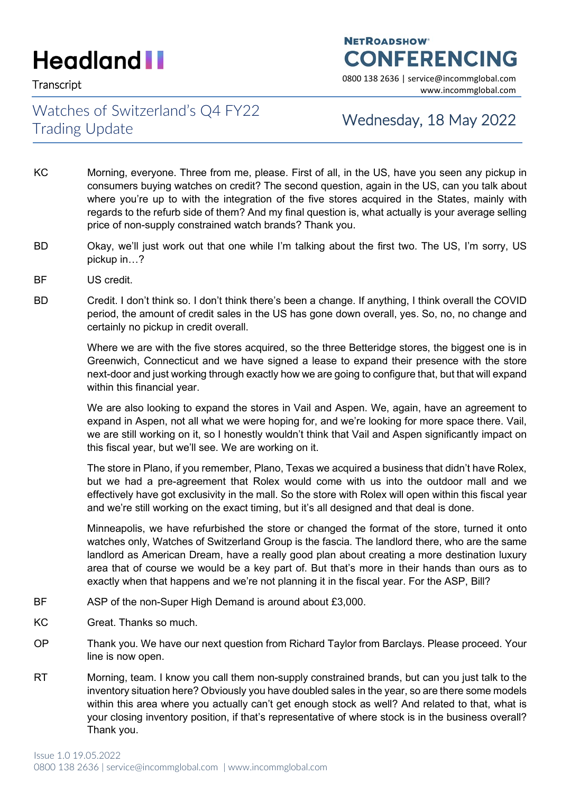**NETROADSHOW CONFERENCING** 

Transcript 0800 138 2636 | service@incommglobal.com www.incommglobal.com

### Watches of Switzerland's Q4 FY22 Trading Update Trading Update

- KC Morning, everyone. Three from me, please. First of all, in the US, have you seen any pickup in consumers buying watches on credit? The second question, again in the US, can you talk about where you're up to with the integration of the five stores acquired in the States, mainly with regards to the refurb side of them? And my final question is, what actually is your average selling price of non-supply constrained watch brands? Thank you.
- BD Okay, we'll just work out that one while I'm talking about the first two. The US, I'm sorry, US pickup in…?
- BF US credit.
- BD Credit. I don't think so. I don't think there's been a change. If anything, I think overall the COVID period, the amount of credit sales in the US has gone down overall, yes. So, no, no change and certainly no pickup in credit overall.

Where we are with the five stores acquired, so the three Betteridge stores, the biggest one is in Greenwich, Connecticut and we have signed a lease to expand their presence with the store next-door and just working through exactly how we are going to configure that, but that will expand within this financial year.

We are also looking to expand the stores in Vail and Aspen. We, again, have an agreement to expand in Aspen, not all what we were hoping for, and we're looking for more space there. Vail, we are still working on it, so I honestly wouldn't think that Vail and Aspen significantly impact on this fiscal year, but we'll see. We are working on it.

The store in Plano, if you remember, Plano, Texas we acquired a business that didn't have Rolex, but we had a pre-agreement that Rolex would come with us into the outdoor mall and we effectively have got exclusivity in the mall. So the store with Rolex will open within this fiscal year and we're still working on the exact timing, but it's all designed and that deal is done.

Minneapolis, we have refurbished the store or changed the format of the store, turned it onto watches only, Watches of Switzerland Group is the fascia. The landlord there, who are the same landlord as American Dream, have a really good plan about creating a more destination luxury area that of course we would be a key part of. But that's more in their hands than ours as to exactly when that happens and we're not planning it in the fiscal year. For the ASP, Bill?

- BF ASP of the non-Super High Demand is around about £3,000.
- KC Great. Thanks so much.
- OP Thank you. We have our next question from Richard Taylor from Barclays. Please proceed. Your line is now open.
- RT Morning, team. I know you call them non-supply constrained brands, but can you just talk to the inventory situation here? Obviously you have doubled sales in the year, so are there some models within this area where you actually can't get enough stock as well? And related to that, what is your closing inventory position, if that's representative of where stock is in the business overall? Thank you.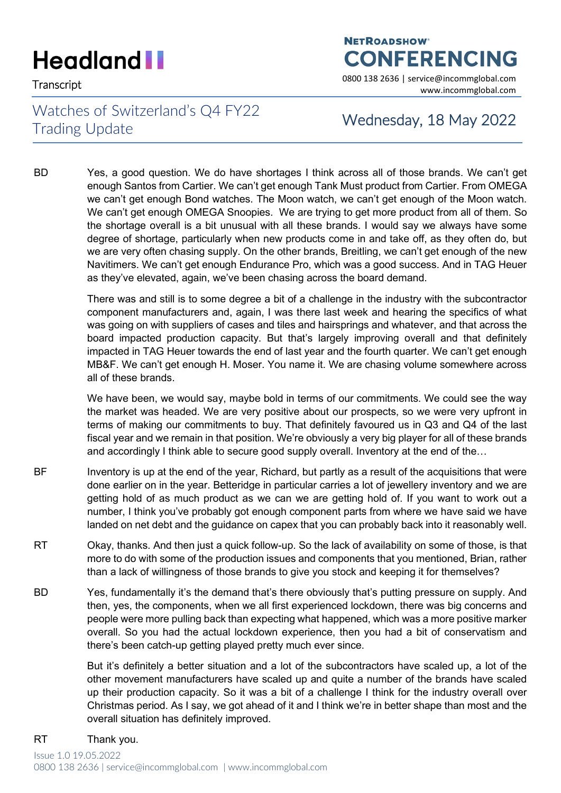## **NETROADSHOW CONFERENCING**

Transcript 0800 138 2636 | service@incommglobal.com www.incommglobal.com

### Watches of Switzerland's Q4 FY22 Trading Update Trading Update

BD Yes, a good question. We do have shortages I think across all of those brands. We can't get enough Santos from Cartier. We can't get enough Tank Must product from Cartier. From OMEGA we can't get enough Bond watches. The Moon watch, we can't get enough of the Moon watch. We can't get enough OMEGA Snoopies. We are trying to get more product from all of them. So the shortage overall is a bit unusual with all these brands. I would say we always have some degree of shortage, particularly when new products come in and take off, as they often do, but we are very often chasing supply. On the other brands, Breitling, we can't get enough of the new Navitimers. We can't get enough Endurance Pro, which was a good success. And in TAG Heuer as they've elevated, again, we've been chasing across the board demand.

> There was and still is to some degree a bit of a challenge in the industry with the subcontractor component manufacturers and, again, I was there last week and hearing the specifics of what was going on with suppliers of cases and tiles and hairsprings and whatever, and that across the board impacted production capacity. But that's largely improving overall and that definitely impacted in TAG Heuer towards the end of last year and the fourth quarter. We can't get enough MB&F. We can't get enough H. Moser. You name it. We are chasing volume somewhere across all of these brands.

> We have been, we would say, maybe bold in terms of our commitments. We could see the way the market was headed. We are very positive about our prospects, so we were very upfront in terms of making our commitments to buy. That definitely favoured us in Q3 and Q4 of the last fiscal year and we remain in that position. We're obviously a very big player for all of these brands and accordingly I think able to secure good supply overall. Inventory at the end of the…

- BF Inventory is up at the end of the year, Richard, but partly as a result of the acquisitions that were done earlier on in the year. Betteridge in particular carries a lot of jewellery inventory and we are getting hold of as much product as we can we are getting hold of. If you want to work out a number, I think you've probably got enough component parts from where we have said we have landed on net debt and the guidance on capex that you can probably back into it reasonably well.
- RT Okay, thanks. And then just a quick follow-up. So the lack of availability on some of those, is that more to do with some of the production issues and components that you mentioned, Brian, rather than a lack of willingness of those brands to give you stock and keeping it for themselves?
- BD Yes, fundamentally it's the demand that's there obviously that's putting pressure on supply. And then, yes, the components, when we all first experienced lockdown, there was big concerns and people were more pulling back than expecting what happened, which was a more positive marker overall. So you had the actual lockdown experience, then you had a bit of conservatism and there's been catch-up getting played pretty much ever since.

But it's definitely a better situation and a lot of the subcontractors have scaled up, a lot of the other movement manufacturers have scaled up and quite a number of the brands have scaled up their production capacity. So it was a bit of a challenge I think for the industry overall over Christmas period. As I say, we got ahead of it and I think we're in better shape than most and the overall situation has definitely improved.

RT Thank you.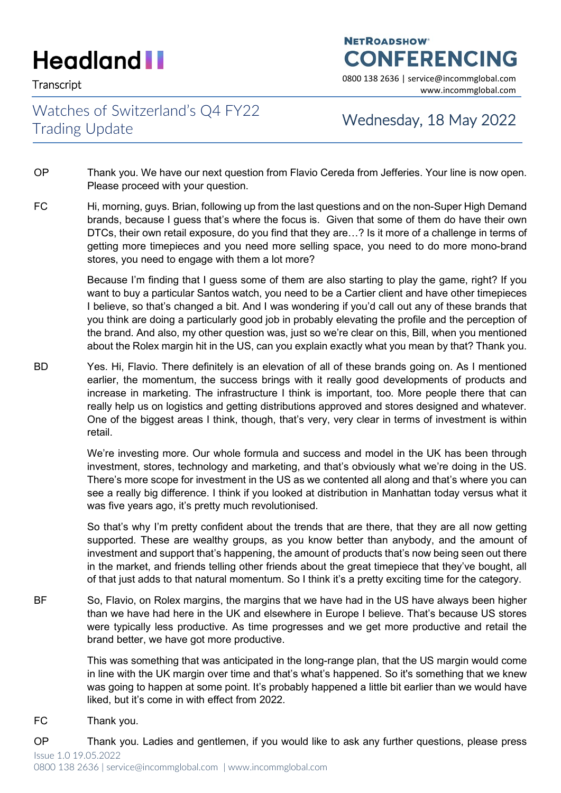Transcript 0800 138 2636 | service@incommglobal.com

### Watches of Switzerland's Q4 FY22 Trading Update Trading Update

**CONFERENCING** 

**NETROADSHOW** 

www.incommglobal.com

- OP Thank you. We have our next question from Flavio Cereda from Jefferies. Your line is now open. Please proceed with your question.
- FC Hi, morning, guys. Brian, following up from the last questions and on the non-Super High Demand brands, because I guess that's where the focus is. Given that some of them do have their own DTCs, their own retail exposure, do you find that they are…? Is it more of a challenge in terms of getting more timepieces and you need more selling space, you need to do more mono-brand stores, you need to engage with them a lot more?

Because I'm finding that I guess some of them are also starting to play the game, right? If you want to buy a particular Santos watch, you need to be a Cartier client and have other timepieces I believe, so that's changed a bit. And I was wondering if you'd call out any of these brands that you think are doing a particularly good job in probably elevating the profile and the perception of the brand. And also, my other question was, just so we're clear on this, Bill, when you mentioned about the Rolex margin hit in the US, can you explain exactly what you mean by that? Thank you.

BD Yes. Hi, Flavio. There definitely is an elevation of all of these brands going on. As I mentioned earlier, the momentum, the success brings with it really good developments of products and increase in marketing. The infrastructure I think is important, too. More people there that can really help us on logistics and getting distributions approved and stores designed and whatever. One of the biggest areas I think, though, that's very, very clear in terms of investment is within retail.

> We're investing more. Our whole formula and success and model in the UK has been through investment, stores, technology and marketing, and that's obviously what we're doing in the US. There's more scope for investment in the US as we contented all along and that's where you can see a really big difference. I think if you looked at distribution in Manhattan today versus what it was five years ago, it's pretty much revolutionised.

> So that's why I'm pretty confident about the trends that are there, that they are all now getting supported. These are wealthy groups, as you know better than anybody, and the amount of investment and support that's happening, the amount of products that's now being seen out there in the market, and friends telling other friends about the great timepiece that they've bought, all of that just adds to that natural momentum. So I think it's a pretty exciting time for the category.

BF So, Flavio, on Rolex margins, the margins that we have had in the US have always been higher than we have had here in the UK and elsewhere in Europe I believe. That's because US stores were typically less productive. As time progresses and we get more productive and retail the brand better, we have got more productive.

> This was something that was anticipated in the long-range plan, that the US margin would come in line with the UK margin over time and that's what's happened. So it's something that we knew was going to happen at some point. It's probably happened a little bit earlier than we would have liked, but it's come in with effect from 2022.

- FC Thank you.
- Issue 1.0 19.05.2022 OP Thank you. Ladies and gentlemen, if you would like to ask any further questions, please press